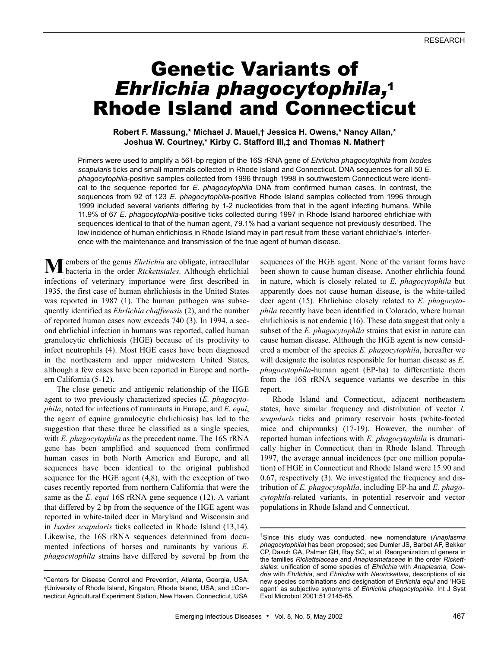# Genetic Variants of *Ehrlichia phagocytophila,*<sup>1</sup> Rhode Island and Connecticut

# **Robert F. Massung,\* Michael J. Mauel,† Jessica H. Owens,\* Nancy Allan,\* Joshua W. Courtney,\* Kirby C. Stafford III,‡ and Thomas N. Mather†**

Primers were used to amplify a 561-bp region of the 16S rRNA gene of *Ehrlichia phagocytophila* from *Ixodes scapularis* ticks and small mammals collected in Rhode Island and Connecticut. DNA sequences for all 50 *E. phagocytophila*-positive samples collected from 1996 through 1998 in southwestern Connecticut were identical to the sequence reported for *E*. *phagocytophila* DNA from confirmed human cases. In contrast, the sequences from 92 of 123 *E*. *phagocytophila*-positive Rhode Island samples collected from 1996 through 1999 included several variants differing by 1-2 nucleotides from that in the agent infecting humans. While 11.9% of 67 *E. phagocytophila*-positive ticks collected during 1997 in Rhode Island harbored ehrlichiae with sequences identical to that of the human agent, 79.1% had a variant sequence not previously described. The low incidence of human ehrlichiosis in Rhode Island may in part result from these variant ehrlichiae's interference with the maintenance and transmission of the true agent of human disease.

embers of the genus *Ehrlichia* are obligate, intracellular **M** embers of the genus *Ehrlichia* are obligate, intracellular bacteria in the order *Rickettsiales*. Although ehrlichial infections of veterinary importance were first described in 1935, the first case of human ehrlichiosis in the United States was reported in 1987 (1). The human pathogen was subsequently identified as *Ehrlichia chaffeensis* (2), and the number of reported human cases now exceeds 740 (3). In 1994, a second ehrlichial infection in humans was reported, called human granulocytic ehrlichiosis (HGE) because of its proclivity to infect neutrophils (4). Most HGE cases have been diagnosed in the northeastern and upper midwestern United States, although a few cases have been reported in Europe and northern California (5-12).

The close genetic and antigenic relationship of the HGE agent to two previously characterized species (*E. phagocytophila*, noted for infections of ruminants in Europe, and *E. equi*, the agent of equine granulocytic ehrlichiosis) has led to the suggestion that these three be classified as a single species, with *E. phagocytophila* as the precedent name. The 16S rRNA gene has been amplified and sequenced from confirmed human cases in both North America and Europe, and all sequences have been identical to the original published sequence for the HGE agent (4,8), with the exception of two cases recently reported from northern California that were the same as the *E. equi* 16S rRNA gene sequence (12). A variant that differed by 2 bp from the sequence of the HGE agent was reported in white-tailed deer in Maryland and Wisconsin and in *Ixodes scapularis* ticks collected in Rhode Island (13,14). Likewise, the 16S rRNA sequences determined from documented infections of horses and ruminants by various *E. phagocytophila* strains have differed by several bp from the sequences of the HGE agent. None of the variant forms have been shown to cause human disease. Another ehrlichia found in nature, which is closely related to *E. phagocytophila* but apparently does not cause human disease, is the white-tailed deer agent (15). Ehrlichiae closely related to *E. phagocytophila* recently have been identified in Colorado, where human ehrlichiosis is not endemic (16). These data suggest that only a subset of the *E. phagocytophila* strains that exist in nature can cause human disease. Although the HGE agent is now considered a member of the species *E. phagocytophila*, hereafter we will designate the isolates responsible for human disease as *E. phagocytophila*-human agent (EP-ha) to differentiate them from the 16S rRNA sequence variants we describe in this report.

Rhode Island and Connecticut, adjacent northeastern states, have similar frequency and distribution of vector *I. scapularis* ticks and primary reservoir hosts (white-footed mice and chipmunks) (17-19). However, the number of reported human infections with *E. phagocytophila* is dramatically higher in Connecticut than in Rhode Island. Through 1997, the average annual incidences (per one million population) of HGE in Connecticut and Rhode Island were 15.90 and 0.67, respectively (3). We investigated the frequency and distribution of *E. phagocytophila*, including EP-ha and *E. phagocytophila*-related variants, in potential reservoir and vector populations in Rhode Island and Connecticut.

<sup>\*</sup>Centers for Disease Control and Prevention, Atlanta, Georgia, USA; †University of Rhode Island, Kingston, Rhode Island, USA; and ‡Connecticut Agricultural Experiment Station, New Haven, Connecticut, USA

<sup>1</sup>Since this study was conducted, new nomenclature (*Anaplasma phagocytophila*) has been proposed; see Dumler JS, Barbet AF, Bekker CP, Dasch GA, Palmer GH, Ray SC, et al. Reorganization of genera in the families *Rickettsiaceae* and *Anaplasmataceae* in the order *Rickettsiales*: unification of some species of *Ehrlichia* with *Anaplasma*, *Cowdria* with *Ehrlichia*, and *Ehrlichia* with *Neorickettsia*, descriptions of six new species combinations and designation of *Ehrlichia equi* and 'HGE agent' as subjective synonyms of *Ehrlichia phagocytophila*. Int J Syst Evol Microbiol 2001;51:2145-65.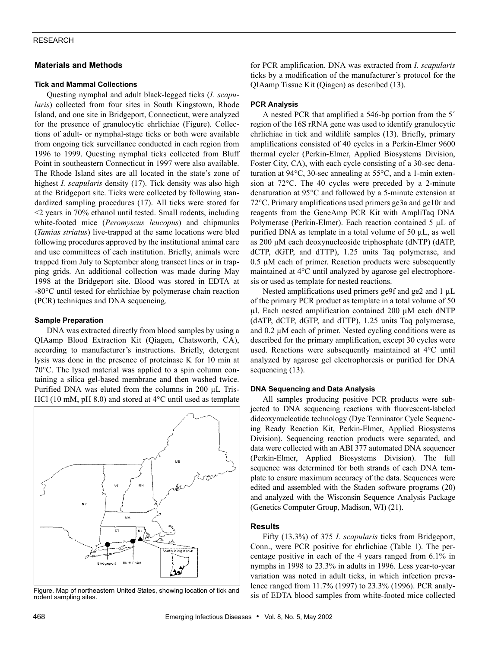# RESEARCH

# **Materials and Methods**

# **Tick and Mammal Collections**

Questing nymphal and adult black-legged ticks (*I. scapularis*) collected from four sites in South Kingstown, Rhode Island, and one site in Bridgeport, Connecticut, were analyzed for the presence of granulocytic ehrlichiae (Figure). Collections of adult- or nymphal-stage ticks or both were available from ongoing tick surveillance conducted in each region from 1996 to 1999. Questing nymphal ticks collected from Bluff Point in southeastern Connecticut in 1997 were also available. The Rhode Island sites are all located in the state's zone of highest *I. scapularis* density (17). Tick density was also high at the Bridgeport site. Ticks were collected by following standardized sampling procedures (17). All ticks were stored for <2 years in 70% ethanol until tested. Small rodents, including white-footed mice (*Peromyscus leucopus*) and chipmunks (*Tamias striatus*) live-trapped at the same locations were bled following procedures approved by the institutional animal care and use committees of each institution. Briefly, animals were trapped from July to September along transect lines or in trapping grids. An additional collection was made during May 1998 at the Bridgeport site. Blood was stored in EDTA at -80°C until tested for ehrlichiae by polymerase chain reaction (PCR) techniques and DNA sequencing.

## **Sample Preparation**

DNA was extracted directly from blood samples by using a QIAamp Blood Extraction Kit (Qiagen, Chatsworth, CA), according to manufacturer's instructions. Briefly, detergent lysis was done in the presence of proteinase K for 10 min at 70°C. The lysed material was applied to a spin column containing a silica gel-based membrane and then washed twice. Purified DNA was eluted from the columns in 200 µL Tris-HCl (10 mM, pH 8.0) and stored at 4<sup>o</sup>C until used as template



rodent sampling sites.

for PCR amplification. DNA was extracted from *I. scapularis* ticks by a modification of the manufacturer's protocol for the QIAamp Tissue Kit (Qiagen) as described (13).

#### **PCR Analysis**

A nested PCR that amplified a 546-bp portion from the 5´ region of the 16S rRNA gene was used to identify granulocytic ehrlichiae in tick and wildlife samples (13). Briefly, primary amplifications consisted of 40 cycles in a Perkin-Elmer 9600 thermal cycler (Perkin-Elmer, Applied Biosystems Division, Foster City, CA), with each cycle consisting of a 30-sec denaturation at 94°C, 30-sec annealing at 55°C, and a 1-min extension at 72°C. The 40 cycles were preceded by a 2-minute denaturation at 95°C and followed by a 5-minute extension at 72°C. Primary amplifications used primers ge3a and ge10r and reagents from the GeneAmp PCR Kit with AmpliTaq DNA Polymerase (Perkin-Elmer). Each reaction contained 5 µL of purified DNA as template in a total volume of 50 µL, as well as 200 µM each deoxynucleoside triphosphate (dNTP) (dATP, dCTP, dGTP, and dTTP), 1.25 units Taq polymerase, and  $0.5 \mu$ M each of primer. Reaction products were subsequently maintained at 4°C until analyzed by agarose gel electrophoresis or used as template for nested reactions.

Nested amplifications used primers ge9f and ge2 and 1  $\mu$ L of the primary PCR product as template in a total volume of 50 µl. Each nested amplification contained 200 µM each dNTP (dATP, dCTP, dGTP, and dTTP), 1.25 units Taq polymerase, and 0.2 µM each of primer. Nested cycling conditions were as described for the primary amplification, except 30 cycles were used. Reactions were subsequently maintained at 4°C until analyzed by agarose gel electrophoresis or purified for DNA sequencing  $(13)$ .

# **DNA Sequencing and Data Analysis**

All samples producing positive PCR products were subjected to DNA sequencing reactions with fluorescent-labeled dideoxynucleotide technology (Dye Terminator Cycle Sequencing Ready Reaction Kit, Perkin-Elmer, Applied Biosystems Division). Sequencing reaction products were separated, and data were collected with an ABI 377 automated DNA sequencer (Perkin-Elmer, Applied Biosystems Division). The full sequence was determined for both strands of each DNA template to ensure maximum accuracy of the data. Sequences were edited and assembled with the Staden software programs (20) and analyzed with the Wisconsin Sequence Analysis Package (Genetics Computer Group, Madison, WI) (21).

#### **Results**

Fifty (13.3%) of 375 *I. scapularis* ticks from Bridgeport, Conn., were PCR positive for ehrlichiae (Table 1). The percentage positive in each of the 4 years ranged from 6.1% in nymphs in 1998 to 23.3% in adults in 1996. Less year-to-year variation was noted in adult ticks, in which infection prevalence ranged from 11.7% (1997) to 23.3% (1996). PCR analysis of EDTA blood samples from white-footed mice collected Figure. Map of northeastern United States, showing location of tick and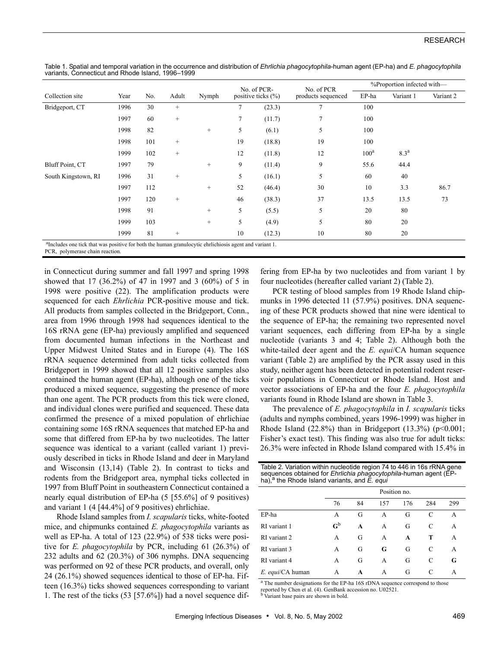|                                                                                                                    | Year<br>1996 | No.<br>30 | Adult<br>$^{+}$ | Nymph  | No. of PCR-<br>positive ticks $(\% )$ |        | No. of PCR         | %Proportion infected with- |                  |           |
|--------------------------------------------------------------------------------------------------------------------|--------------|-----------|-----------------|--------|---------------------------------------|--------|--------------------|----------------------------|------------------|-----------|
| Collection site                                                                                                    |              |           |                 |        |                                       |        | products sequenced | EP-ha                      | Variant 1        | Variant 2 |
| Bridgeport, CT                                                                                                     |              |           |                 |        | 7                                     | (23.3) | 7                  | 100                        |                  |           |
|                                                                                                                    | 1997         | 60        | $^{+}$          |        | 7                                     | (11.7) | 7                  | 100                        |                  |           |
|                                                                                                                    | 1998         | 82        |                 | $^{+}$ | 5                                     | (6.1)  | 5                  | 100                        |                  |           |
|                                                                                                                    | 1998         | 101       | $^{+}$          |        | 19                                    | (18.8) | 19                 | 100                        |                  |           |
|                                                                                                                    | 1999         | 102       | $^{+}$          |        | 12                                    | (11.8) | 12                 | 100 <sup>a</sup>           | 8.3 <sup>a</sup> |           |
| Bluff Point, CT                                                                                                    | 1997         | 79        |                 | $\! +$ | 9                                     | (11.4) | 9                  | 55.6                       | 44.4             |           |
| South Kingstown, RI                                                                                                | 1996         | 31        | $^{+}$          |        | 5                                     | (16.1) | 5                  | 60                         | 40               |           |
|                                                                                                                    | 1997         | 112       |                 | $^{+}$ | 52                                    | (46.4) | 30                 | 10                         | 3.3              | 86.7      |
|                                                                                                                    | 1997         | 120       | $^{+}$          |        | 46                                    | (38.3) | 37                 | 13.5                       | 13.5             | 73        |
|                                                                                                                    | 1998         | 91        |                 | $^{+}$ | 5                                     | (5.5)  | 5                  | 20                         | 80               |           |
|                                                                                                                    | 1999         | 103       |                 | $^{+}$ | 5                                     | (4.9)  | 5                  | 80                         | 20               |           |
|                                                                                                                    | 1999         | 81        | $^{+}$          |        | 10                                    | (12.3) | 10                 | 80                         | 20               |           |
| <sup>8</sup> Includes are tight that wes positive for both the human grapulaavtic obrlishingic agent and verient 1 |              |           |                 |        |                                       |        |                    |                            |                  |           |

Table 1. Spatial and temporal variation in the occurrence and distribution of *Ehrlichia phagocytophila*-human agent (EP-ha) and *E. phagocytophila* variants, Connecticut and Rhode Island, 1996–1999

Includes one tick that was positive for both the human granulocytic ehrlichiosis agent and variant 1.

PCR, polymerase chain reaction.

in Connecticut during summer and fall 1997 and spring 1998 showed that 17 (36.2%) of 47 in 1997 and 3 (60%) of 5 in 1998 were positive (22). The amplification products were sequenced for each *Ehrlichia* PCR-positive mouse and tick. All products from samples collected in the Bridgeport, Conn., area from 1996 through 1998 had sequences identical to the 16S rRNA gene (EP-ha) previously amplified and sequenced from documented human infections in the Northeast and Upper Midwest United States and in Europe (4). The 16S rRNA sequence determined from adult ticks collected from Bridgeport in 1999 showed that all 12 positive samples also contained the human agent (EP-ha), although one of the ticks produced a mixed sequence, suggesting the presence of more than one agent. The PCR products from this tick were cloned, and individual clones were purified and sequenced. These data confirmed the presence of a mixed population of ehrlichiae containing some 16S rRNA sequences that matched EP-ha and some that differed from EP-ha by two nucleotides. The latter sequence was identical to a variant (called variant 1) previously described in ticks in Rhode Island and deer in Maryland and Wisconsin (13,14) (Table 2). In contrast to ticks and rodents from the Bridgeport area, nymphal ticks collected in 1997 from Bluff Point in southeastern Connecticut contained a nearly equal distribution of EP-ha (5 [55.6%] of 9 positives) and variant 1 (4 [44.4%] of 9 positives) ehrlichiae.

Rhode Island samples from *I. scapularis* ticks, white-footed mice, and chipmunks contained *E. phagocytophila* variants as well as EP-ha. A total of 123 (22.9%) of 538 ticks were positive for *E. phagocytophila* by PCR, including 61 (26.3%) of 232 adults and 62 (20.3%) of 306 nymphs. DNA sequencing was performed on 92 of these PCR products, and overall, only 24 (26.1%) showed sequences identical to those of EP-ha. Fifteen (16.3%) ticks showed sequences corresponding to variant 1. The rest of the ticks (53 [57.6%]) had a novel sequence differing from EP-ha by two nucleotides and from variant 1 by four nucleotides (hereafter called variant 2) (Table 2).

PCR testing of blood samples from 19 Rhode Island chipmunks in 1996 detected 11 (57.9%) positives. DNA sequencing of these PCR products showed that nine were identical to the sequence of EP-ha; the remaining two represented novel variant sequences, each differing from EP-ha by a single nucleotide (variants 3 and 4; Table 2). Although both the white-tailed deer agent and the *E. equi*/CA human sequence variant (Table 2) are amplified by the PCR assay used in this study, neither agent has been detected in potential rodent reservoir populations in Connecticut or Rhode Island. Host and vector associations of EP-ha and the four *E. phagocytophila* variants found in Rhode Island are shown in Table 3.

The prevalence of *E. phagocytophila* in *I. scapularis* ticks (adults and nymphs combined, years 1996-1999) was higher in Rhode Island  $(22.8\%)$  than in Bridgeport  $(13.3\%)$  (p<0.001; Fisher's exact test). This finding was also true for adult ticks: 26.3% were infected in Rhode Island compared with 15.4% in

| Table 2. Variation within nucleotide region 74 to 446 in 16s rRNA gene<br>sequences obtained for Ehrlichia phagocytophila-human agent (EP-<br>ha), $a$ the Rhode Island variants, and $E$ . equi |                           |    |     |     |     |     |  |  |
|--------------------------------------------------------------------------------------------------------------------------------------------------------------------------------------------------|---------------------------|----|-----|-----|-----|-----|--|--|
|                                                                                                                                                                                                  | Position no.              |    |     |     |     |     |  |  |
|                                                                                                                                                                                                  | 76                        | 84 | 157 | 176 | 284 | 299 |  |  |
| EP-ha                                                                                                                                                                                            | A                         | G  | A   | G   | C   | A   |  |  |
| RI variant 1                                                                                                                                                                                     | $\mathbf{G}^{\mathbf{b}}$ | A  | A   | G   | C   | A   |  |  |
| RI variant 2                                                                                                                                                                                     | A                         | G  | A   | A   | т   | A   |  |  |
| RI variant 3                                                                                                                                                                                     | A                         | G  | G   | G   | C   | A   |  |  |
| RI variant 4                                                                                                                                                                                     | A                         | G  | A   | G   | C   | G   |  |  |
| E. equi/CA human                                                                                                                                                                                 | A                         | A  | A   | G   | C   | A   |  |  |

<sup>a</sup> The number designations for the EP-ha 16S rDNA sequence correspond to those reported by Chen et al. (4). GenBank accession no. U02521.

b Variant base pairs are shown in bold.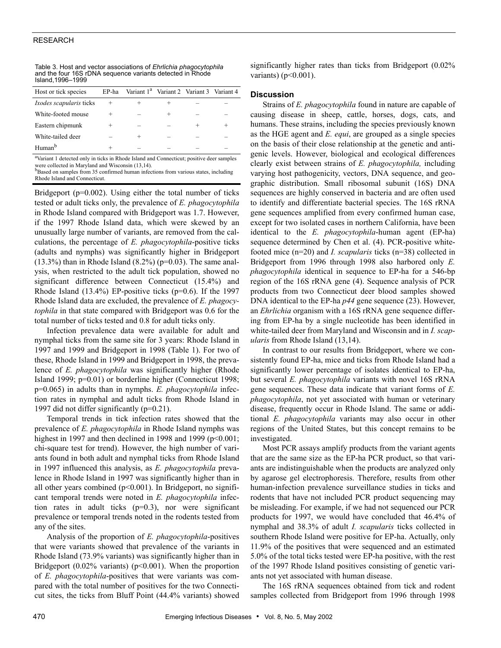## RESEARCH

| Island, 1996–1999              |       |                                                      |  |
|--------------------------------|-------|------------------------------------------------------|--|
| Host or tick species           | EP-ha | Variant 1 <sup>a</sup> Variant 2 Variant 3 Variant 4 |  |
| <i>Ixodes scapularis</i> ticks |       |                                                      |  |
| White-footed mouse             | $^+$  |                                                      |  |
| Eastern chipmunk               | $^+$  |                                                      |  |
| White-tailed deer              |       |                                                      |  |
|                                |       |                                                      |  |

Table 3. Host and vector associations of *Ehrlichia phagocytophila* and the four 16S rDNA sequence variants detected in Rhode Island,1996–1999

<sup>a</sup>Variant 1 detected only in ticks in Rhode Island and Connecticut; positive deer samples were collected in Maryland and Wisconsin (13,14).

Human<sup>b</sup> + – – – – –

<sup>b</sup>Based on samples from 35 confirmed human infections from various states, including Rhode Island and Connecticut.

Bridgeport (p=0.002). Using either the total number of ticks tested or adult ticks only, the prevalence of *E. phagocytophila* in Rhode Island compared with Bridgeport was 1.7. However, if the 1997 Rhode Island data, which were skewed by an unusually large number of variants, are removed from the calculations, the percentage of *E. phagocytophila*-positive ticks (adults and nymphs) was significantly higher in Bridgeport  $(13.3%)$  than in Rhode Island  $(8.2%)$  (p=0.03). The same analysis, when restricted to the adult tick population, showed no significant difference between Connecticut (15.4%) and Rhode Island  $(13.4\%)$  EP-positive ticks  $(p=0.6)$ . If the 1997 Rhode Island data are excluded, the prevalence of *E. phagocytophila* in that state compared with Bridgeport was 0.6 for the total number of ticks tested and 0.8 for adult ticks only.

Infection prevalence data were available for adult and nymphal ticks from the same site for 3 years: Rhode Island in 1997 and 1999 and Bridgeport in 1998 (Table 1). For two of these, Rhode Island in 1999 and Bridgeport in 1998, the prevalence of *E. phagocytophila* was significantly higher (Rhode Island 1999; p=0.01) or borderline higher (Connecticut 1998; p=0.065) in adults than in nymphs. *E. phagocytophila* infection rates in nymphal and adult ticks from Rhode Island in 1997 did not differ significantly (p=0.21).

Temporal trends in tick infection rates showed that the prevalence of *E. phagocytophila* in Rhode Island nymphs was highest in 1997 and then declined in 1998 and 1999 (p<0.001; chi-square test for trend). However, the high number of variants found in both adult and nymphal ticks from Rhode Island in 1997 influenced this analysis, as *E. phagocytophila* prevalence in Rhode Island in 1997 was significantly higher than in all other years combined  $(p<0.001)$ . In Bridgeport, no significant temporal trends were noted in *E. phagocytophila* infection rates in adult ticks (p=0.3), nor were significant prevalence or temporal trends noted in the rodents tested from any of the sites.

Analysis of the proportion of *E. phagocytophila*-positives that were variants showed that prevalence of the variants in Rhode Island (73.9% variants) was significantly higher than in Bridgeport  $(0.02\%$  variants) ( $p<0.001$ ). When the proportion of *E. phagocytophila*-positives that were variants was compared with the total number of positives for the two Connecticut sites, the ticks from Bluff Point (44.4% variants) showed

significantly higher rates than ticks from Bridgeport  $(0.02\%)$ variants) ( $p<0.001$ ).

# **Discussion**

Strains of *E. phagocytophila* found in nature are capable of causing disease in sheep, cattle, horses, dogs, cats, and humans. These strains, including the species previously known as the HGE agent and *E. equi*, are grouped as a single species on the basis of their close relationship at the genetic and antigenic levels. However, biological and ecological differences clearly exist between strains of *E. phagocytophila,* including varying host pathogenicity, vectors, DNA sequence, and geographic distribution. Small ribosomal subunit (16S) DNA sequences are highly conserved in bacteria and are often used to identify and differentiate bacterial species. The 16S rRNA gene sequences amplified from every confirmed human case, except for two isolated cases in northern California, have been identical to the *E. phagocytophila*-human agent (EP-ha) sequence determined by Chen et al. (4). PCR-positive whitefooted mice (n=20) and *I. scapularis* ticks (n=38) collected in Bridgeport from 1996 through 1998 also harbored only *E. phagocytophila* identical in sequence to EP-ha for a 546-bp region of the 16S rRNA gene (4). Sequence analysis of PCR products from two Connecticut deer blood samples showed DNA identical to the EP-ha *p44* gene sequence (23). However, an *Ehrlichia* organism with a 16S rRNA gene sequence differing from EP-ha by a single nucleotide has been identified in white-tailed deer from Maryland and Wisconsin and in *I. scapularis* from Rhode Island (13,14).

In contrast to our results from Bridgeport, where we consistently found EP-ha, mice and ticks from Rhode Island had a significantly lower percentage of isolates identical to EP-ha, but several *E. phagocytophila* variants with novel 16S rRNA gene sequences. These data indicate that variant forms of *E. phagocytophila*, not yet associated with human or veterinary disease, frequently occur in Rhode Island. The same or additional *E. phagocytophila* variants may also occur in other regions of the United States, but this concept remains to be investigated.

Most PCR assays amplify products from the variant agents that are the same size as the EP-ha PCR product, so that variants are indistinguishable when the products are analyzed only by agarose gel electrophoresis. Therefore, results from other human-infection prevalence surveillance studies in ticks and rodents that have not included PCR product sequencing may be misleading. For example, if we had not sequenced our PCR products for 1997, we would have concluded that 46.4% of nymphal and 38.3% of adult *I. scapularis* ticks collected in southern Rhode Island were positive for EP-ha. Actually, only 11.9% of the positives that were sequenced and an estimated 5.0% of the total ticks tested were EP-ha positive, with the rest of the 1997 Rhode Island positives consisting of genetic variants not yet associated with human disease.

The 16S rRNA sequences obtained from tick and rodent samples collected from Bridgeport from 1996 through 1998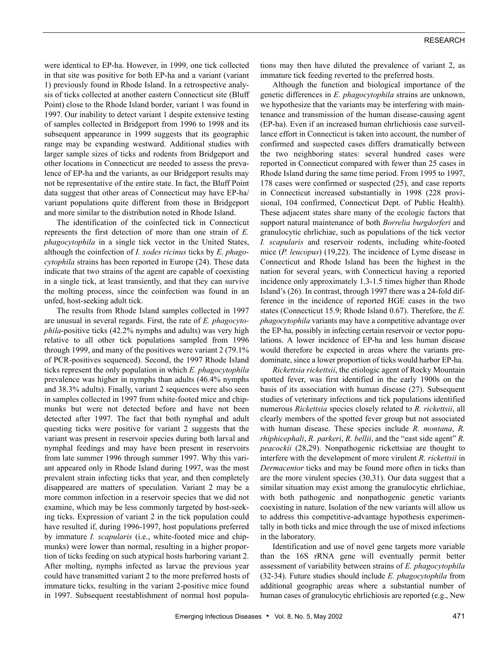were identical to EP-ha. However, in 1999, one tick collected in that site was positive for both EP-ha and a variant (variant 1) previously found in Rhode Island. In a retrospective analysis of ticks collected at another eastern Connecticut site (Bluff Point) close to the Rhode Island border, variant 1 was found in 1997. Our inability to detect variant 1 despite extensive testing of samples collected in Bridgeport from 1996 to 1998 and its subsequent appearance in 1999 suggests that its geographic range may be expanding westward. Additional studies with larger sample sizes of ticks and rodents from Bridgeport and other locations in Connecticut are needed to assess the prevalence of EP-ha and the variants, as our Bridgeport results may not be representative of the entire state. In fact, the Bluff Point data suggest that other areas of Connecticut may have EP-ha/ variant populations quite different from those in Bridgeport and more similar to the distribution noted in Rhode Island.

The identification of the coinfected tick in Connecticut represents the first detection of more than one strain of *E. phagocytophila* in a single tick vector in the United States, although the coinfection of *I. xodes ricinus* ticks by *E. phagocytophila* strains has been reported in Europe (24). These data indicate that two strains of the agent are capable of coexisting in a single tick, at least transiently, and that they can survive the molting process, since the coinfection was found in an unfed, host-seeking adult tick.

The results from Rhode Island samples collected in 1997 are unusual in several regards. First, the rate of *E. phagocytophila*-positive ticks (42.2% nymphs and adults) was very high relative to all other tick populations sampled from 1996 through 1999, and many of the positives were variant 2 (79.1% of PCR-positives sequenced). Second, the 1997 Rhode Island ticks represent the only population in which *E. phagocytophila* prevalence was higher in nymphs than adults (46.4% nymphs and 38.3% adults). Finally, variant 2 sequences were also seen in samples collected in 1997 from white-footed mice and chipmunks but were not detected before and have not been detected after 1997. The fact that both nymphal and adult questing ticks were positive for variant 2 suggests that the variant was present in reservoir species during both larval and nymphal feedings and may have been present in reservoirs from late summer 1996 through summer 1997. Why this variant appeared only in Rhode Island during 1997, was the most prevalent strain infecting ticks that year, and then completely disappeared are matters of speculation. Variant 2 may be a more common infection in a reservoir species that we did not examine, which may be less commonly targeted by host-seeking ticks. Expression of variant 2 in the tick population could have resulted if, during 1996-1997, host populations preferred by immature *I. scapularis* (i.e., white-footed mice and chipmunks) were lower than normal, resulting in a higher proportion of ticks feeding on such atypical hosts harboring variant 2. After molting, nymphs infected as larvae the previous year could have transmitted variant 2 to the more preferred hosts of immature ticks, resulting in the variant 2-positive mice found in 1997. Subsequent reestablishment of normal host populations may then have diluted the prevalence of variant 2, as immature tick feeding reverted to the preferred hosts.

Although the function and biological importance of the genetic differences in *E. phagocytophila* strains are unknown, we hypothesize that the variants may be interfering with maintenance and transmission of the human disease-causing agent (EP-ha). Even if an increased human ehrlichiosis case surveillance effort in Connecticut is taken into account, the number of confirmed and suspected cases differs dramatically between the two neighboring states: several hundred cases were reported in Connecticut compared with fewer than 25 cases in Rhode Island during the same time period. From 1995 to 1997, 178 cases were confirmed or suspected (25), and case reports in Connecticut increased substantially in 1998 (228 provisional, 104 confirmed, Connecticut Dept. of Public Health). These adjacent states share many of the ecologic factors that support natural maintenance of both *Borrelia burgdorferi* and granulocytic ehrlichiae, such as populations of the tick vector *I. scapularis* and reservoir rodents, including white-footed mice (*P. leucopus*) (19,22). The incidence of Lyme disease in Connecticut and Rhode Island has been the highest in the nation for several years, with Connecticut having a reported incidence only approximately 1.3-1.5 times higher than Rhode Island's (26). In contrast, through 1997 there was a 24-fold difference in the incidence of reported HGE cases in the two states (Connecticut 15.9; Rhode Island 0.67). Therefore, the *E. phagocytophila* variants may have a competitive advantage over the EP-ha, possibly in infecting certain reservoir or vector populations. A lower incidence of EP-ha and less human disease would therefore be expected in areas where the variants predominate, since a lower proportion of ticks would harbor EP-ha.

*Rickettsia rickettsii*, the etiologic agent of Rocky Mountain spotted fever, was first identified in the early 1900s on the basis of its association with human disease (27). Subsequent studies of veterinary infections and tick populations identified numerous *Rickettsia* species closely related to *R. rickettsii*, all clearly members of the spotted fever group but not associated with human disease. These species include *R. montana*, *R. rhiphicephali*, *R. parkeri*, *R. bellii*, and the "east side agent" *R. peacockii* (28,29). Nonpathogenic rickettsiae are thought to interfere with the development of more virulent *R. rickettsii* in *Dermacentor* ticks and may be found more often in ticks than are the more virulent species (30,31). Our data suggest that a similar situation may exist among the granulocytic ehrlichiae, with both pathogenic and nonpathogenic genetic variants coexisting in nature. Isolation of the new variants will allow us to address this competitive-advantage hypothesis experimentally in both ticks and mice through the use of mixed infections in the laboratory.

Identification and use of novel gene targets more variable than the 16S rRNA gene will eventually permit better assessment of variability between strains of *E. phagocytophila* (32-34). Future studies should include *E. phagocytophila* from additional geographic areas where a substantial number of human cases of granulocytic ehrlichiosis are reported (e.g., New